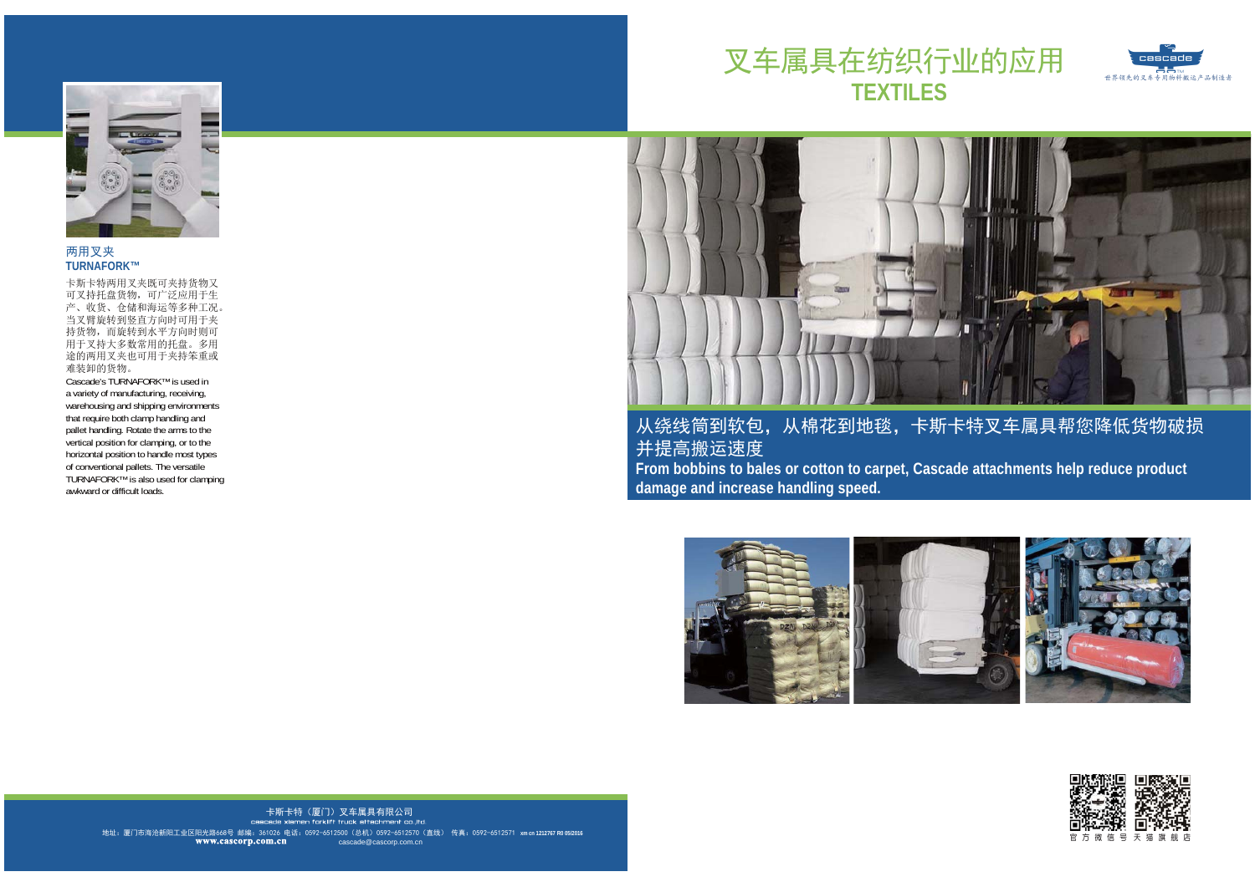





两用叉夹 **TURNAFORK™**

卡斯卡特两用叉夹既可夹持货物又 可叉持托盘货物,可广泛应用于生 产、收货、仓储和海运等多种工况。 当叉臂旋转到竖直方向时可用于夹 持货物,而旋转到水平方向时则可 用于叉持大多数常用的托盘。多用 途的两用叉夹也可用于夹持笨重或难装卸的货物。

 Cascade's TURNAFORK™ is used in a variety of manufacturing, receiving, warehousing and shipping environments that require both clamp handling and pallet handling. Rotate the arms to the vertical position for clamping, or to the horizontal position to handle most types of conventional pallets. The versatile TURNAFORK™ is also used for clamping awkward or difficult loads.



从绕线筒到软包, 从棉花到地毯, 卡斯卡特叉车属具帮您降低货物破损 并提高搬运速度 **From bobbins to bales or cotton to carpet, Cascade attachments help reduce product damage and increase handling speed.**





地址:厦门市海沧新阳工业区阳光路668号 邮编: 361026 电话: 0592-6512500(总机)0592-6512570(直线) 传真: 0592-6512571 xmcn1212767 R005/2016 卡斯卡特(厦门)叉车属具有限公司 cascade@cascorp.com.cn